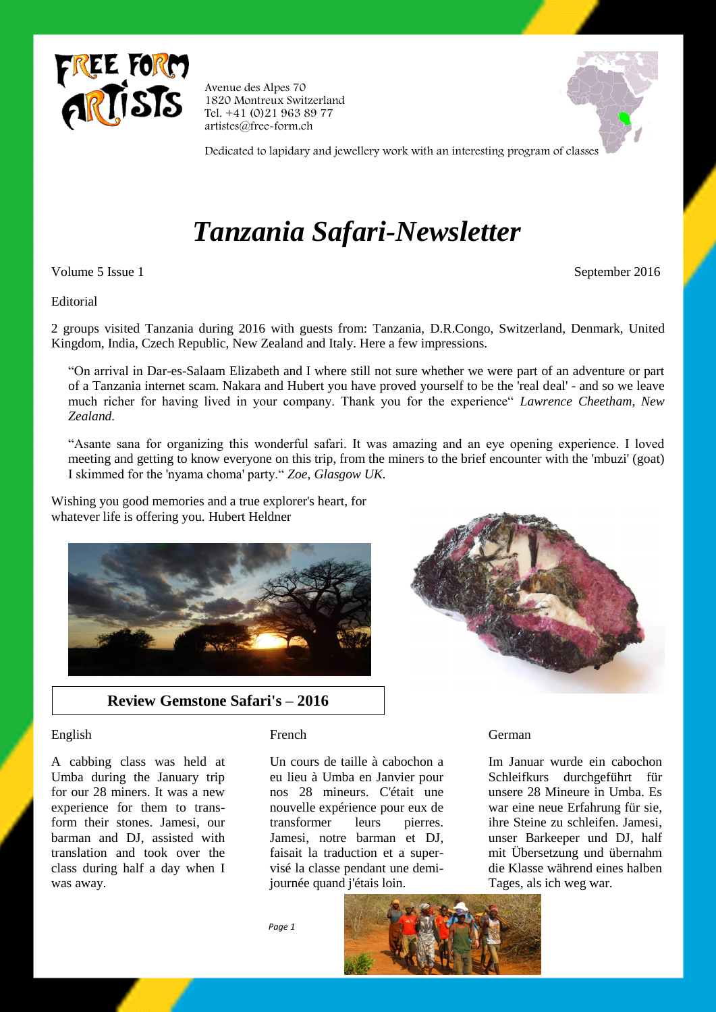

Avenue des Alpes 70 1820 Montreux Switzerland Tel. +41 (0)21 963 89 77 artistes@free-form.ch



Dedicated to lapidary and jewellery work with an interesting program of classes

# *Tanzania Safari-Newsletter*

Volume 5 Issue 1 September 2016

#### Editorial

2 groups visited Tanzania during 2016 with guests from: Tanzania, D.R.Congo, Switzerland, Denmark, United Kingdom, India, Czech Republic, New Zealand and Italy. Here a few impressions.

"On arrival in Dar-es-Salaam Elizabeth and I where still not sure whether we were part of an adventure or part of a Tanzania internet scam. Nakara and Hubert you have proved yourself to be the 'real deal' - and so we leave much richer for having lived in your company. Thank you for the experience" *Lawrence Cheetham, New Zealand.*

"Asante sana for organizing this wonderful safari. It was amazing and an eye opening experience. I loved meeting and getting to know everyone on this trip, from the miners to the brief encounter with the 'mbuzi' (goat) I skimmed for the 'nyama choma' party." *Zoe, Glasgow UK.*

Wishing you good memories and a true explorer's heart, for whatever life is offering you. Hubert Heldner





# **Review Gemstone Safari's – 2016**

#### English

A cabbing class was held at Umba during the January trip for our 28 miners. It was a new experience for them to transform their stones. Jamesi, our barman and DJ, assisted with translation and took over the class during half a day when I was away.

## French

Un cours de taille à cabochon a eu lieu à Umba en Janvier pour nos 28 mineurs. C'était une nouvelle expérience pour eux de transformer leurs pierres. Jamesi, notre barman et DJ, faisait la traduction et a supervisé la classe pendant une demijournée quand j'étais loin.

## German

Im Januar wurde ein cabochon Schleifkurs durchgeführt für unsere 28 Mineure in Umba. Es war eine neue Erfahrung für sie, ihre Steine zu schleifen. Jamesi, unser Barkeeper und DJ, half mit Übersetzung und übernahm die Klasse während eines halben Tages, als ich weg war.

 *Page 1*

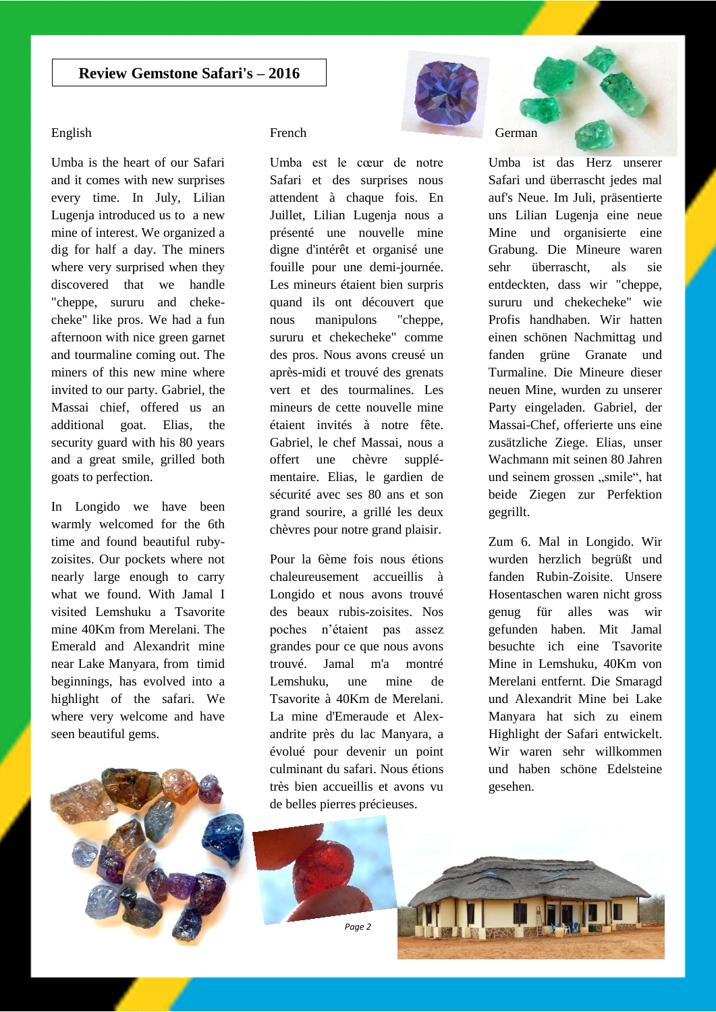#### English

Umba is the heart of our Safari and it comes with new surprises every time. In July, Lilian Lugenja introduced us to a new mine of interest. We organized a dig for half a day. The miners where very surprised when they discovered that we handle "cheppe, sururu and chekecheke" like pros. We had a fun afternoon with nice green garnet and tourmaline coming out. The miners of this new mine where invited to our party. Gabriel, the Massai chief, offered us an additional goat. Elias, the security guard with his 80 years and a great smile, grilled both goats to perfection.

In Longido we have been warmly welcomed for the 6th time and found beautiful rubyzoisites. Our pockets where not nearly large enough to carry what we found. With Jamal I visited Lemshuku a Tsavorite mine 40Km from Merelani. The Emerald and Alexandrit mine near Lake Manyara, from timid beginnings, has evolved into a highlight of the safari. We where very welcome and have seen beautiful gems.



## French

Umba est le cœur de notre Safari et des surprises nous attendent à chaque fois. En Juillet, Lilian Lugenja nous a présenté une nouvelle mine digne d'intérêt et organisé une fouille pour une demi-journée. Les mineurs étaient bien surpris quand ils ont découvert que nous manipulons "cheppe, sururu et chekecheke" comme des pros. Nous avons creusé un après-midi et trouvé des grenats vert et des tourmalines. Les mineurs de cette nouvelle mine étaient invités à notre fête. Gabriel, le chef Massai, nous a offert une chèvre supplémentaire. Elias, le gardien de sécurité avec ses 80 ans et son grand sourire, a grillé les deux chèvres pour notre grand plaisir.

Pour la 6ème fois nous étions chaleureusement accueillis à Longido et nous avons trouvé des beaux rubis-zoisites. Nos poches n'étaient pas assez grandes pour ce que nous avons trouvé. Jamal m'a montré Lemshuku, une mine de Tsavorite à 40Km de Merelani. La mine d'Emeraude et Alexandrite près du lac Manyara, a évolué pour devenir un point culminant du safari. Nous étions très bien accueillis et avons vu de belles pierres précieuses.



# German

Umba ist das Herz unserer Safari und überrascht jedes mal auf's Neue. Im Juli, präsentierte uns Lilian Lugenja eine neue Mine und organisierte eine Grabung. Die Mineure waren sehr überrascht, als sie entdeckten, dass wir "cheppe, sururu und chekecheke" wie Profis handhaben. Wir hatten einen schönen Nachmittag und fanden grüne Granate und Turmaline. Die Mineure dieser neuen Mine, wurden zu unserer Party eingeladen. Gabriel, der Massai-Chef, offerierte uns eine zusätzliche Ziege. Elias, unser Wachmann mit seinen 80 Jahren und seinem grossen "smile", hat beide Ziegen zur Perfektion gegrillt.

Zum 6. Mal in Longido. Wir wurden herzlich begrüßt und fanden Rubin-Zoisite. Unsere Hosentaschen waren nicht gross genug für alles was wir gefunden haben. Mit Jamal besuchte ich eine Tsavorite Mine in Lemshuku, 40Km von Merelani entfernt. Die Smaragd und Alexandrit Mine bei Lake Manyara hat sich zu einem Highlight der Safari entwickelt. Wir waren sehr willkommen und haben schöne Edelsteine gesehen.